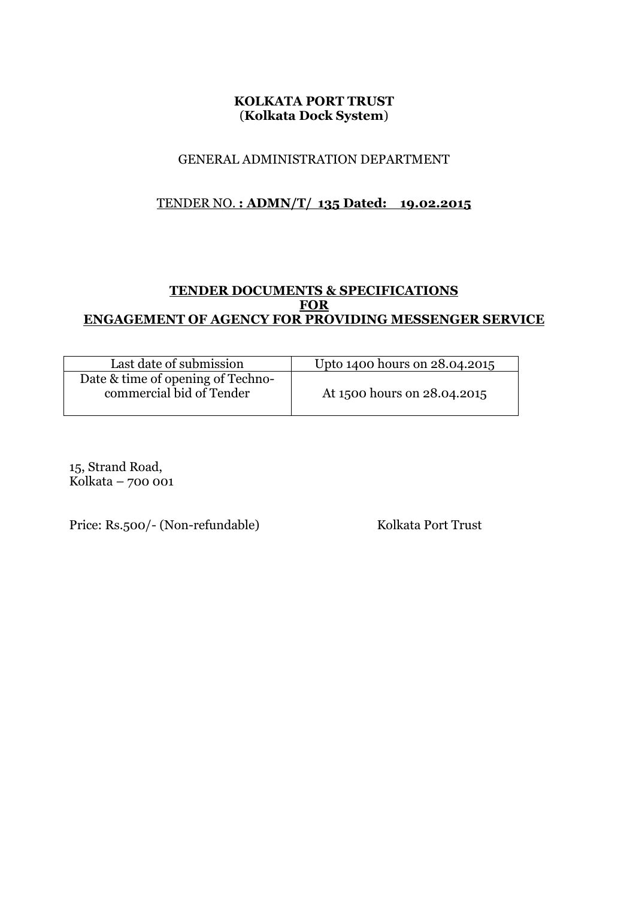# **KOLKATA PORT TRUST** (**Kolkata Dock System**)

# GENERAL ADMINISTRATION DEPARTMENT

# TENDER NO. **: ADMN/T/ 135 Dated: 19.02.2015**

# **TENDER DOCUMENTS & SPECIFICATIONS FOR ENGAGEMENT OF AGENCY FOR PROVIDING MESSENGER SERVICE**

| Last date of submission           | Upto 1400 hours on 28.04.2015 |
|-----------------------------------|-------------------------------|
| Date & time of opening of Techno- |                               |
| commercial bid of Tender          | At 1500 hours on 28.04.2015   |

15, Strand Road, Kolkata –  $700001$ 

Price: Rs.500/- (Non-refundable) Kolkata Port Trust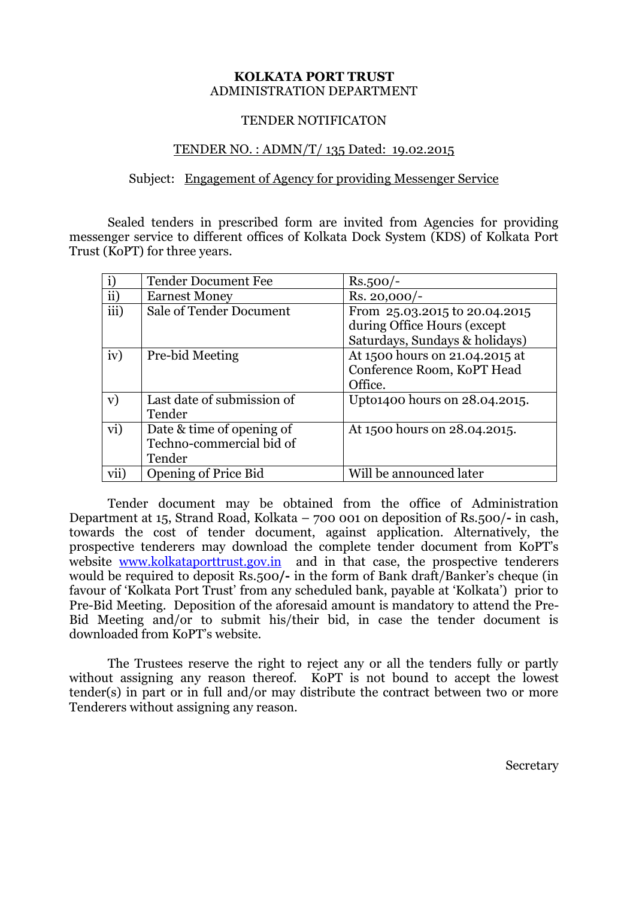#### **KOLKATA PORT TRUST** ADMINISTRATION DEPARTMENT

#### TENDER NOTIFICATON

#### TENDER NO. : ADMN/T/ 135 Dated: 19.02.2015

#### Subject:Engagement of Agency for providing Messenger Service

Sealed tenders in prescribed form are invited from Agencies for providing messenger service to different offices of Kolkata Dock System (KDS) of Kolkata Port Trust (KoPT) for three years.

|           | <b>Tender Document Fee</b>                                      | $Rs.500/-$                                                                                     |
|-----------|-----------------------------------------------------------------|------------------------------------------------------------------------------------------------|
| $\rm ii)$ | <b>Earnest Money</b>                                            | $Rs. 20,000/-$                                                                                 |
| iii)      | <b>Sale of Tender Document</b>                                  | From 25.03.2015 to 20.04.2015<br>during Office Hours (except<br>Saturdays, Sundays & holidays) |
| iv)       | Pre-bid Meeting                                                 | At 1500 hours on 21.04.2015 at<br>Conference Room, KoPT Head<br>Office.                        |
| V)        | Last date of submission of<br>Tender                            | Upto1400 hours on 28.04.2015.                                                                  |
| vi)       | Date & time of opening of<br>Techno-commercial bid of<br>Tender | At 1500 hours on 28.04.2015.                                                                   |
| vii)      | <b>Opening of Price Bid</b>                                     | Will be announced later                                                                        |

Tender document may be obtained from the office of Administration Department at 15, Strand Road, Kolkata – 700 001 on deposition of Rs.500/**-** in cash, towards the cost of tender document, against application. Alternatively, the prospective tenderers may download the complete tender document from KoPT's website [www.kolkataporttrust.gov.in](http://www.kolkataporttrust.gov.in/) and in that case, the prospective tenderers would be required to deposit Rs.500**/-** in the form of Bank draft/Banker's cheque (in favour of 'Kolkata Port Trust' from any scheduled bank, payable at 'Kolkata') prior to Pre-Bid Meeting. Deposition of the aforesaid amount is mandatory to attend the Pre-Bid Meeting and/or to submit his/their bid, in case the tender document is downloaded from KoPT's website.

The Trustees reserve the right to reject any or all the tenders fully or partly without assigning any reason thereof. KoPT is not bound to accept the lowest tender(s) in part or in full and/or may distribute the contract between two or more Tenderers without assigning any reason.

Secretary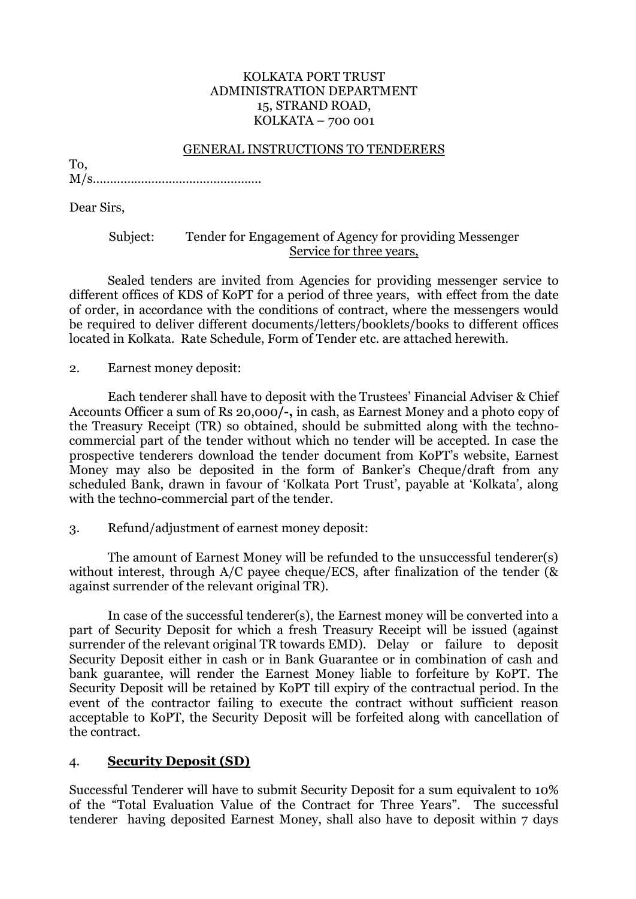### KOLKATA PORT TRUST ADMINISTRATION DEPARTMENT 15, STRAND ROAD, KOLKATA – 700 001

#### GENERAL INSTRUCTIONS TO TENDERERS

M/s………………………………………….

Dear Sirs,

To,

### Subject: Tender for Engagement of Agency for providing Messenger Service for three years,

Sealed tenders are invited from Agencies for providing messenger service to different offices of KDS of KoPT for a period of three years, with effect from the date of order, in accordance with the conditions of contract, where the messengers would be required to deliver different documents/letters/booklets/books to different offices located in Kolkata. Rate Schedule, Form of Tender etc. are attached herewith.

2. Earnest money deposit:

Each tenderer shall have to deposit with the Trustees' Financial Adviser & Chief Accounts Officer a sum of Rs 20,000**/-,** in cash, as Earnest Money and a photo copy of the Treasury Receipt (TR) so obtained, should be submitted along with the technocommercial part of the tender without which no tender will be accepted. In case the prospective tenderers download the tender document from KoPT's website, Earnest Money may also be deposited in the form of Banker's Cheque/draft from any scheduled Bank, drawn in favour of 'Kolkata Port Trust', payable at 'Kolkata', along with the techno-commercial part of the tender.

3. Refund/adjustment of earnest money deposit:

The amount of Earnest Money will be refunded to the unsuccessful tenderer(s) without interest, through A/C payee cheque/ECS, after finalization of the tender (& against surrender of the relevant original TR).

In case of the successful tenderer(s), the Earnest money will be converted into a part of Security Deposit for which a fresh Treasury Receipt will be issued (against surrender of the relevant original TR towards EMD). Delay or failure to deposit Security Deposit either in cash or in Bank Guarantee or in combination of cash and bank guarantee, will render the Earnest Money liable to forfeiture by KoPT. The Security Deposit will be retained by KoPT till expiry of the contractual period. In the event of the contractor failing to execute the contract without sufficient reason acceptable to KoPT, the Security Deposit will be forfeited along with cancellation of the contract.

# 4. **Security Deposit (SD)**

Successful Tenderer will have to submit Security Deposit for a sum equivalent to 10% of the "Total Evaluation Value of the Contract for Three Years". The successful tenderer having deposited Earnest Money, shall also have to deposit within 7 days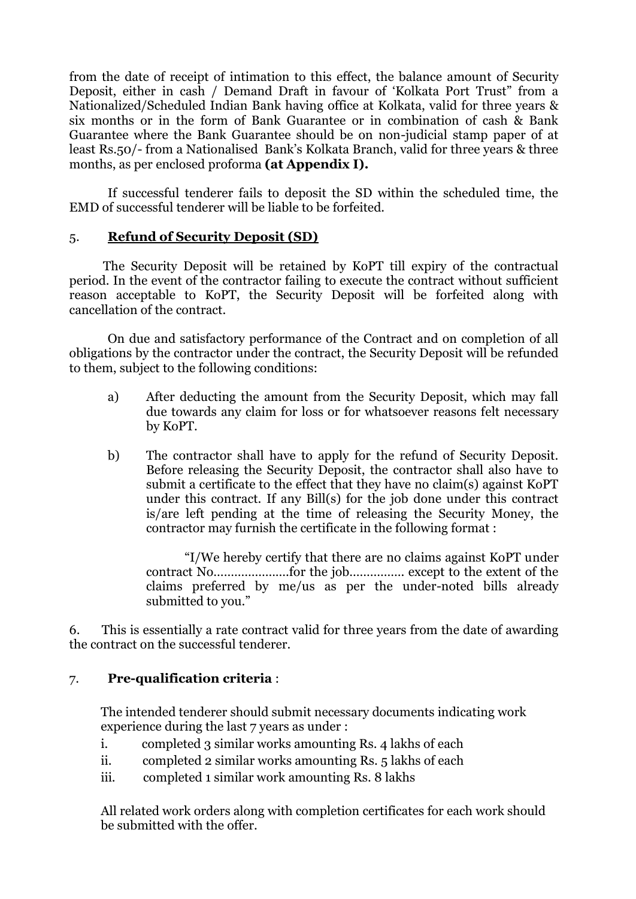from the date of receipt of intimation to this effect, the balance amount of Security Deposit, either in cash / Demand Draft in favour of 'Kolkata Port Trust" from a Nationalized/Scheduled Indian Bank having office at Kolkata, valid for three years & six months or in the form of Bank Guarantee or in combination of cash & Bank Guarantee where the Bank Guarantee should be on non-judicial stamp paper of at least Rs.50/- from a Nationalised Bank's Kolkata Branch, valid for three years & three months, as per enclosed proforma **(at Appendix I).** 

If successful tenderer fails to deposit the SD within the scheduled time, the EMD of successful tenderer will be liable to be forfeited.

# 5. **Refund of Security Deposit (SD)**

 The Security Deposit will be retained by KoPT till expiry of the contractual period. In the event of the contractor failing to execute the contract without sufficient reason acceptable to KoPT, the Security Deposit will be forfeited along with cancellation of the contract.

On due and satisfactory performance of the Contract and on completion of all obligations by the contractor under the contract, the Security Deposit will be refunded to them, subject to the following conditions:

- a) After deducting the amount from the Security Deposit, which may fall due towards any claim for loss or for whatsoever reasons felt necessary by KoPT.
- b) The contractor shall have to apply for the refund of Security Deposit. Before releasing the Security Deposit, the contractor shall also have to submit a certificate to the effect that they have no claim(s) against KoPT under this contract. If any Bill(s) for the job done under this contract is/are left pending at the time of releasing the Security Money, the contractor may furnish the certificate in the following format :

"I/We hereby certify that there are no claims against KoPT under contract No………………….for the job……………. except to the extent of the claims preferred by me/us as per the under-noted bills already submitted to you."

6. This is essentially a rate contract valid for three years from the date of awarding the contract on the successful tenderer.

# 7. **Pre-qualification criteria** :

The intended tenderer should submit necessary documents indicating work experience during the last 7 years as under :

- i. completed 3 similar works amounting Rs. 4 lakhs of each
- ii. completed 2 similar works amounting Rs. 5 lakhs of each
- iii. completed 1 similar work amounting Rs. 8 lakhs

All related work orders along with completion certificates for each work should be submitted with the offer.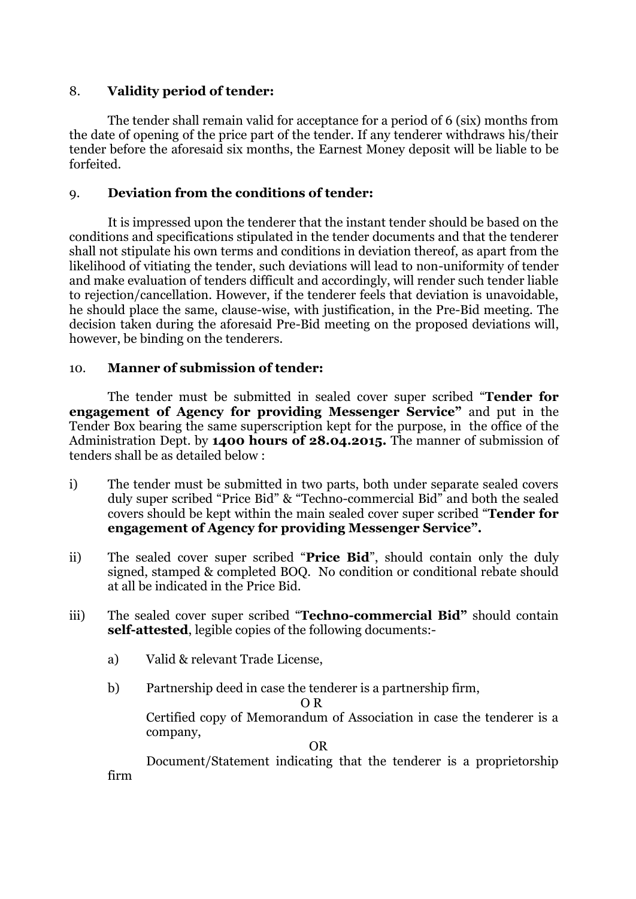# 8. **Validity period of tender:**

The tender shall remain valid for acceptance for a period of 6 (six) months from the date of opening of the price part of the tender. If any tenderer withdraws his/their tender before the aforesaid six months, the Earnest Money deposit will be liable to be forfeited.

# 9. **Deviation from the conditions of tender:**

It is impressed upon the tenderer that the instant tender should be based on the conditions and specifications stipulated in the tender documents and that the tenderer shall not stipulate his own terms and conditions in deviation thereof, as apart from the likelihood of vitiating the tender, such deviations will lead to non-uniformity of tender and make evaluation of tenders difficult and accordingly, will render such tender liable to rejection/cancellation. However, if the tenderer feels that deviation is unavoidable, he should place the same, clause-wise, with justification, in the Pre-Bid meeting. The decision taken during the aforesaid Pre-Bid meeting on the proposed deviations will, however, be binding on the tenderers.

# 10. **Manner of submission of tender:**

The tender must be submitted in sealed cover super scribed "**Tender for engagement of Agency for providing Messenger Service"** and put in the Tender Box bearing the same superscription kept for the purpose, in the office of the Administration Dept. by **1400 hours of 28.04.2015.** The manner of submission of tenders shall be as detailed below :

- i) The tender must be submitted in two parts, both under separate sealed covers duly super scribed "Price Bid" & "Techno-commercial Bid" and both the sealed covers should be kept within the main sealed cover super scribed "**Tender for engagement of Agency for providing Messenger Service".**
- ii) The sealed cover super scribed "**Price Bid**", should contain only the duly signed, stamped & completed BOQ. No condition or conditional rebate should at all be indicated in the Price Bid.
- iii) The sealed cover super scribed "**Techno-commercial Bid"** should contain **self-attested**, legible copies of the following documents:
	- a) Valid & relevant Trade License,
	- b) Partnership deed in case the tenderer is a partnership firm,

O R

Certified copy of Memorandum of Association in case the tenderer is a company,

OR

Document/Statement indicating that the tenderer is a proprietorship firm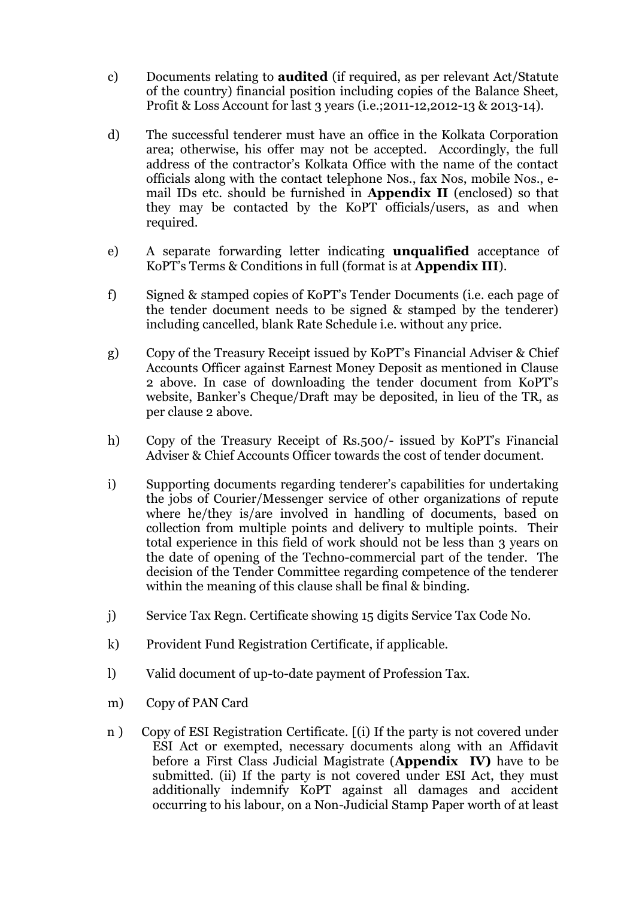- c) Documents relating to **audited** (if required, as per relevant Act/Statute of the country) financial position including copies of the Balance Sheet, Profit & Loss Account for last 3 years (i.e.;2011-12,2012-13 & 2013-14).
- d) The successful tenderer must have an office in the Kolkata Corporation area; otherwise, his offer may not be accepted. Accordingly, the full address of the contractor's Kolkata Office with the name of the contact officials along with the contact telephone Nos., fax Nos, mobile Nos., email IDs etc. should be furnished in **Appendix II** (enclosed) so that they may be contacted by the KoPT officials/users, as and when required.
- e) A separate forwarding letter indicating **unqualified** acceptance of KoPT's Terms & Conditions in full (format is at **Appendix III**).
- f) Signed & stamped copies of KoPT's Tender Documents (i.e. each page of the tender document needs to be signed & stamped by the tenderer) including cancelled, blank Rate Schedule i.e. without any price.
- g) Copy of the Treasury Receipt issued by KoPT's Financial Adviser & Chief Accounts Officer against Earnest Money Deposit as mentioned in Clause 2 above. In case of downloading the tender document from KoPT's website, Banker's Cheque/Draft may be deposited, in lieu of the TR, as per clause 2 above.
- h) Copy of the Treasury Receipt of Rs.500/- issued by KoPT's Financial Adviser & Chief Accounts Officer towards the cost of tender document.
- i) Supporting documents regarding tenderer's capabilities for undertaking the jobs of Courier/Messenger service of other organizations of repute where he/they is/are involved in handling of documents, based on collection from multiple points and delivery to multiple points. Their total experience in this field of work should not be less than 3 years on the date of opening of the Techno-commercial part of the tender. The decision of the Tender Committee regarding competence of the tenderer within the meaning of this clause shall be final & binding.
- j) Service Tax Regn. Certificate showing 15 digits Service Tax Code No.
- k) Provident Fund Registration Certificate, if applicable.
- l) Valid document of up-to-date payment of Profession Tax.
- m) Copy of PAN Card
- n ) Copy of ESI Registration Certificate. [(i) If the party is not covered under ESI Act or exempted, necessary documents along with an Affidavit before a First Class Judicial Magistrate (**Appendix IV)** have to be submitted. (ii) If the party is not covered under ESI Act, they must additionally indemnify KoPT against all damages and accident occurring to his labour, on a Non-Judicial Stamp Paper worth of at least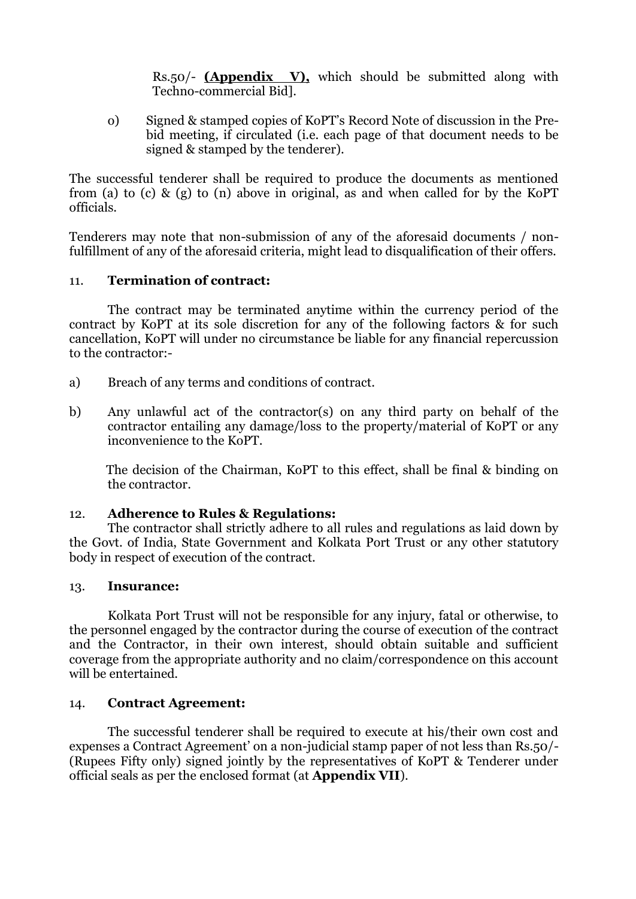Rs.50/- **(Appendix V),** which should be submitted along with Techno-commercial Bid].

o) Signed & stamped copies of KoPT's Record Note of discussion in the Prebid meeting, if circulated (i.e. each page of that document needs to be signed & stamped by the tenderer).

The successful tenderer shall be required to produce the documents as mentioned from (a) to (c) & (g) to (n) above in original, as and when called for by the KoPT officials.

Tenderers may note that non-submission of any of the aforesaid documents / nonfulfillment of any of the aforesaid criteria, might lead to disqualification of their offers.

# 11. **Termination of contract:**

The contract may be terminated anytime within the currency period of the contract by KoPT at its sole discretion for any of the following factors & for such cancellation, KoPT will under no circumstance be liable for any financial repercussion to the contractor:-

- a) Breach of any terms and conditions of contract.
- b) Any unlawful act of the contractor(s) on any third party on behalf of the contractor entailing any damage/loss to the property/material of KoPT or any inconvenience to the KoPT.

 The decision of the Chairman, KoPT to this effect, shall be final & binding on the contractor.

#### 12. **Adherence to Rules & Regulations:**

The contractor shall strictly adhere to all rules and regulations as laid down by the Govt. of India, State Government and Kolkata Port Trust or any other statutory body in respect of execution of the contract.

#### 13. **Insurance:**

Kolkata Port Trust will not be responsible for any injury, fatal or otherwise, to the personnel engaged by the contractor during the course of execution of the contract and the Contractor, in their own interest, should obtain suitable and sufficient coverage from the appropriate authority and no claim/correspondence on this account will be entertained.

# 14. **Contract Agreement:**

The successful tenderer shall be required to execute at his/their own cost and expenses a Contract Agreement' on a non-judicial stamp paper of not less than Rs.50/- (Rupees Fifty only) signed jointly by the representatives of KoPT & Tenderer under official seals as per the enclosed format (at **Appendix VII**).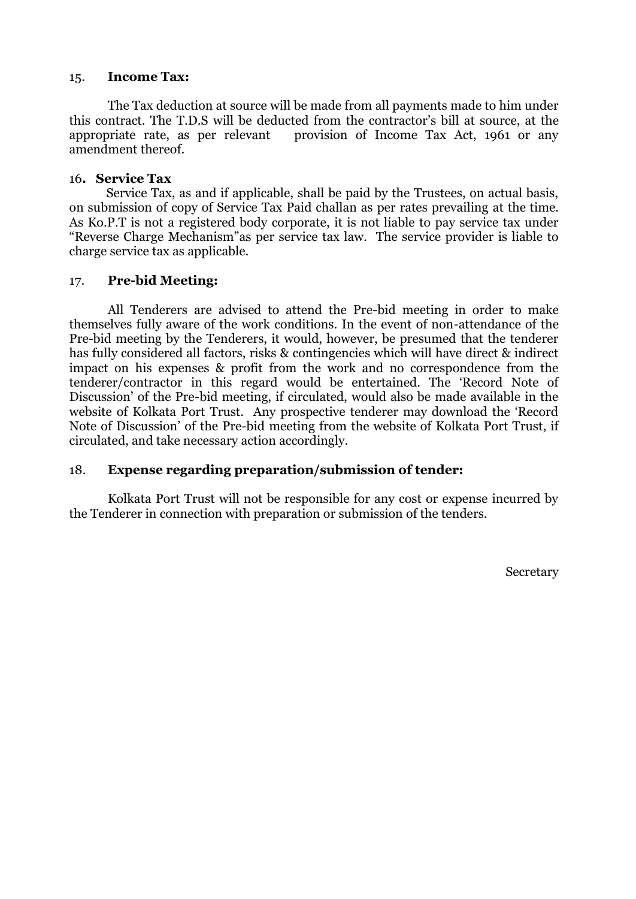#### 15. **Income Tax:**

The Tax deduction at source will be made from all payments made to him under this contract. The T.D.S will be deducted from the contractor's bill at source, at the appropriate rate, as per relevant provision of Income Tax Act, 1961 or any amendment thereof.

### 16**. Service Tax**

 Service Tax, as and if applicable, shall be paid by the Trustees, on actual basis, on submission of copy of Service Tax Paid challan as per rates prevailing at the time. As Ko.P.T is not a registered body corporate, it is not liable to pay service tax under "Reverse Charge Mechanism"as per service tax law. The service provider is liable to charge service tax as applicable.

# 17. **Pre-bid Meeting:**

All Tenderers are advised to attend the Pre-bid meeting in order to make themselves fully aware of the work conditions. In the event of non-attendance of the Pre-bid meeting by the Tenderers, it would, however, be presumed that the tenderer has fully considered all factors, risks & contingencies which will have direct & indirect impact on his expenses & profit from the work and no correspondence from the tenderer/contractor in this regard would be entertained. The 'Record Note of Discussion' of the Pre-bid meeting, if circulated, would also be made available in the website of Kolkata Port Trust. Any prospective tenderer may download the 'Record Note of Discussion' of the Pre-bid meeting from the website of Kolkata Port Trust, if circulated, and take necessary action accordingly.

# 18. **Expense regarding preparation/submission of tender:**

Kolkata Port Trust will not be responsible for any cost or expense incurred by the Tenderer in connection with preparation or submission of the tenders.

Secretary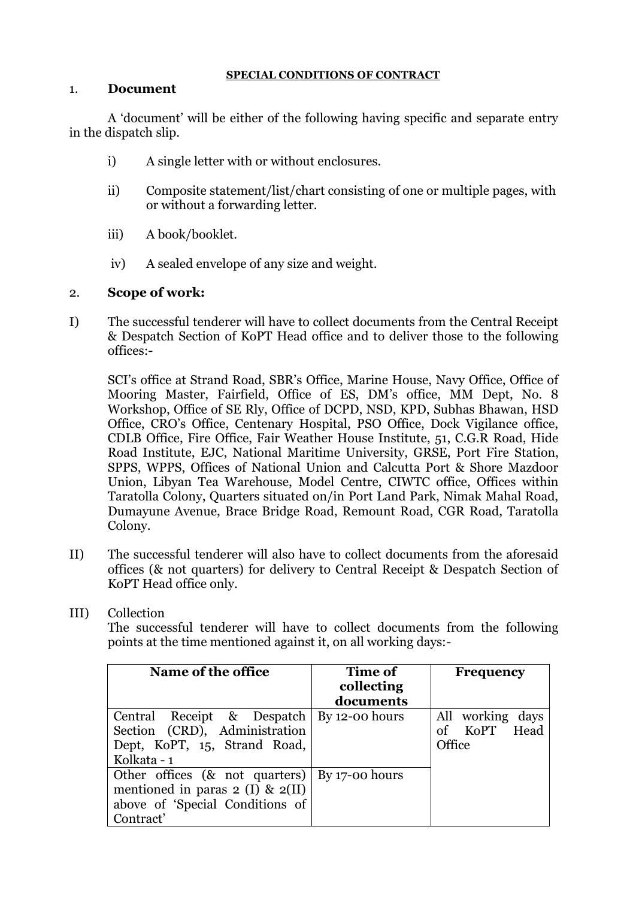### **SPECIAL CONDITIONS OF CONTRACT**

### 1. **Document**

A 'document' will be either of the following having specific and separate entry in the dispatch slip.

- i) A single letter with or without enclosures.
- ii) Composite statement/list/chart consisting of one or multiple pages, with or without a forwarding letter.
- iii) A book/booklet.
- iv) A sealed envelope of any size and weight.

# 2. **Scope of work:**

I) The successful tenderer will have to collect documents from the Central Receipt & Despatch Section of KoPT Head office and to deliver those to the following offices:-

SCI's office at Strand Road, SBR's Office, Marine House, Navy Office, Office of Mooring Master, Fairfield, Office of ES, DM's office, MM Dept, No. 8 Workshop, Office of SE Rly, Office of DCPD, NSD, KPD, Subhas Bhawan, HSD Office, CRO's Office, Centenary Hospital, PSO Office, Dock Vigilance office, CDLB Office, Fire Office, Fair Weather House Institute, 51, C.G.R Road, Hide Road Institute, EJC, National Maritime University, GRSE, Port Fire Station, SPPS, WPPS, Offices of National Union and Calcutta Port & Shore Mazdoor Union, Libyan Tea Warehouse, Model Centre, CIWTC office, Offices within Taratolla Colony, Quarters situated on/in Port Land Park, Nimak Mahal Road, Dumayune Avenue, Brace Bridge Road, Remount Road, CGR Road, Taratolla Colony.

- II) The successful tenderer will also have to collect documents from the aforesaid offices (& not quarters) for delivery to Central Receipt & Despatch Section of KoPT Head office only.
- III) Collection

The successful tenderer will have to collect documents from the following points at the time mentioned against it, on all working days:-

| Name of the office                                        | Time of    | <b>Frequency</b> |
|-----------------------------------------------------------|------------|------------------|
|                                                           | collecting |                  |
|                                                           | documents  |                  |
| Central Receipt & Despatch   By 12-00 hours               |            | All working days |
| Section (CRD), Administration                             |            | KoPT Head<br>of  |
| Dept, KoPT, 15, Strand Road,                              |            | Office           |
| Kolkata - 1                                               |            |                  |
| Other offices $(8 \text{ not quarters})   By 17-00 hours$ |            |                  |
| mentioned in paras $2 \text{ (I)} \& 2 \text{ (II)}$      |            |                  |
| above of 'Special Conditions of                           |            |                  |
| Contract'                                                 |            |                  |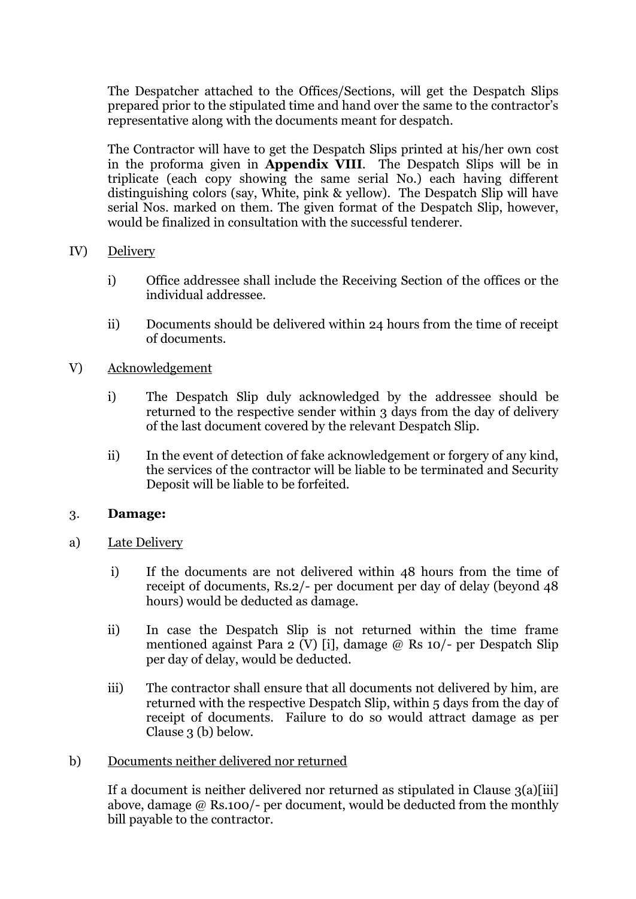The Despatcher attached to the Offices/Sections, will get the Despatch Slips prepared prior to the stipulated time and hand over the same to the contractor's representative along with the documents meant for despatch.

The Contractor will have to get the Despatch Slips printed at his/her own cost in the proforma given in **Appendix VIII**. The Despatch Slips will be in triplicate (each copy showing the same serial No.) each having different distinguishing colors (say, White, pink & yellow). The Despatch Slip will have serial Nos. marked on them. The given format of the Despatch Slip, however, would be finalized in consultation with the successful tenderer.

# IV) Delivery

- i) Office addressee shall include the Receiving Section of the offices or the individual addressee.
- ii) Documents should be delivered within 24 hours from the time of receipt of documents.
- V) Acknowledgement
	- i) The Despatch Slip duly acknowledged by the addressee should be returned to the respective sender within 3 days from the day of delivery of the last document covered by the relevant Despatch Slip.
	- ii) In the event of detection of fake acknowledgement or forgery of any kind, the services of the contractor will be liable to be terminated and Security Deposit will be liable to be forfeited.

# 3. **Damage:**

- a) Late Delivery
	- i) If the documents are not delivered within 48 hours from the time of receipt of documents, Rs.2/- per document per day of delay (beyond 48 hours) would be deducted as damage.
	- ii) In case the Despatch Slip is not returned within the time frame mentioned against Para 2 (V) [i], damage @ Rs 10/- per Despatch Slip per day of delay, would be deducted.
	- iii) The contractor shall ensure that all documents not delivered by him, are returned with the respective Despatch Slip, within 5 days from the day of receipt of documents. Failure to do so would attract damage as per Clause 3 (b) below.

# b) Documents neither delivered nor returned

If a document is neither delivered nor returned as stipulated in Clause 3(a)[iii] above, damage @ Rs.100/- per document, would be deducted from the monthly bill payable to the contractor.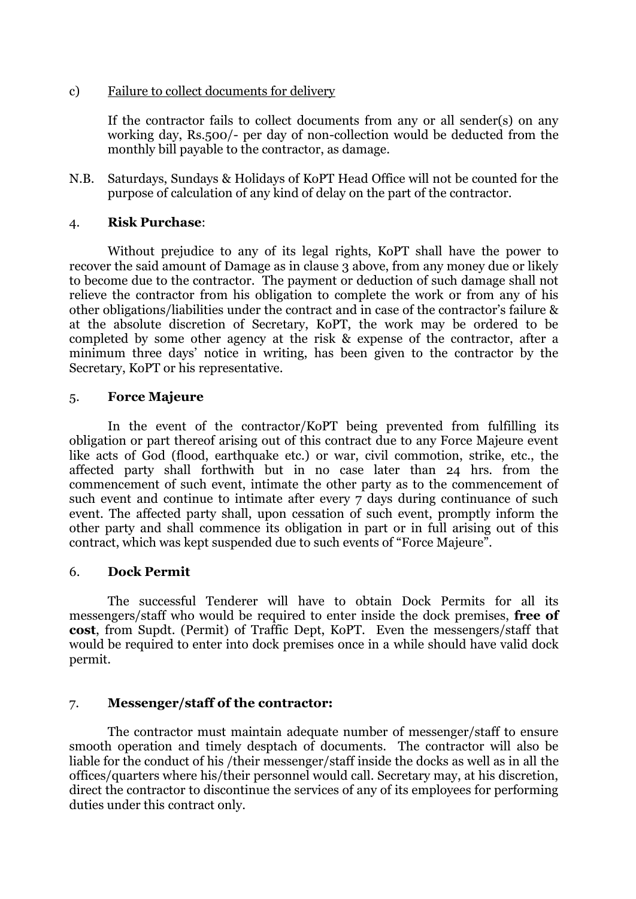c) Failure to collect documents for delivery

If the contractor fails to collect documents from any or all sender(s) on any working day, Rs.500/- per day of non-collection would be deducted from the monthly bill payable to the contractor, as damage.

N.B. Saturdays, Sundays & Holidays of KoPT Head Office will not be counted for the purpose of calculation of any kind of delay on the part of the contractor.

### 4. **Risk Purchase**:

Without prejudice to any of its legal rights, KoPT shall have the power to recover the said amount of Damage as in clause 3 above, from any money due or likely to become due to the contractor. The payment or deduction of such damage shall not relieve the contractor from his obligation to complete the work or from any of his other obligations/liabilities under the contract and in case of the contractor's failure & at the absolute discretion of Secretary, KoPT, the work may be ordered to be completed by some other agency at the risk & expense of the contractor, after a minimum three days' notice in writing, has been given to the contractor by the Secretary, KoPT or his representative.

### 5. **Force Majeure**

In the event of the contractor/KoPT being prevented from fulfilling its obligation or part thereof arising out of this contract due to any Force Majeure event like acts of God (flood, earthquake etc.) or war, civil commotion, strike, etc., the affected party shall forthwith but in no case later than 24 hrs. from the commencement of such event, intimate the other party as to the commencement of such event and continue to intimate after every 7 days during continuance of such event. The affected party shall, upon cessation of such event, promptly inform the other party and shall commence its obligation in part or in full arising out of this contract, which was kept suspended due to such events of "Force Majeure".

# 6. **Dock Permit**

The successful Tenderer will have to obtain Dock Permits for all its messengers/staff who would be required to enter inside the dock premises, **free of cost**, from Supdt. (Permit) of Traffic Dept, KoPT. Even the messengers/staff that would be required to enter into dock premises once in a while should have valid dock permit.

# 7. **Messenger/staff of the contractor:**

The contractor must maintain adequate number of messenger/staff to ensure smooth operation and timely desptach of documents. The contractor will also be liable for the conduct of his /their messenger/staff inside the docks as well as in all the offices/quarters where his/their personnel would call. Secretary may, at his discretion, direct the contractor to discontinue the services of any of its employees for performing duties under this contract only.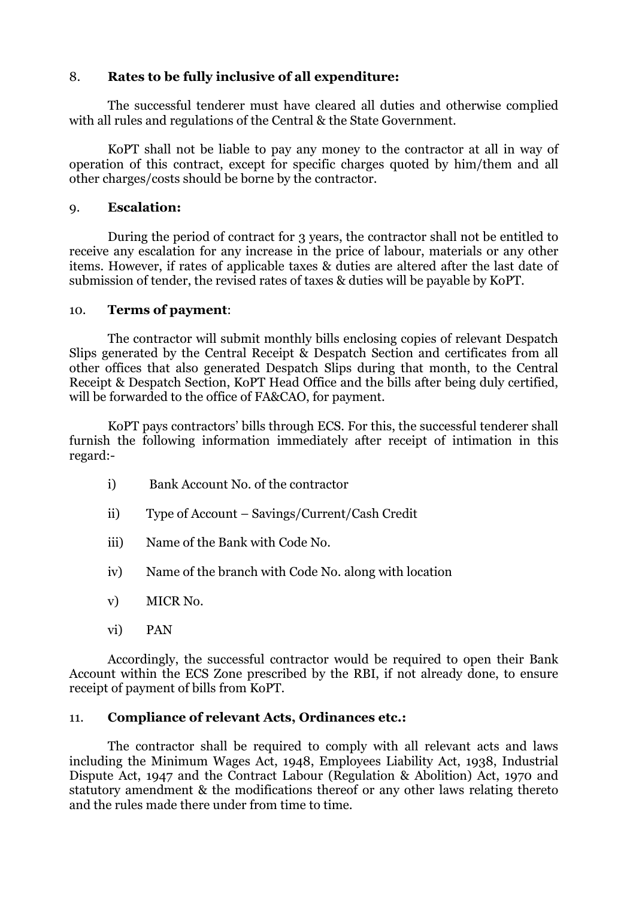# 8. **Rates to be fully inclusive of all expenditure:**

The successful tenderer must have cleared all duties and otherwise complied with all rules and regulations of the Central & the State Government.

KoPT shall not be liable to pay any money to the contractor at all in way of operation of this contract, except for specific charges quoted by him/them and all other charges/costs should be borne by the contractor.

# 9. **Escalation:**

During the period of contract for 3 years, the contractor shall not be entitled to receive any escalation for any increase in the price of labour, materials or any other items. However, if rates of applicable taxes & duties are altered after the last date of submission of tender, the revised rates of taxes & duties will be payable by KoPT.

# 10. **Terms of payment**:

The contractor will submit monthly bills enclosing copies of relevant Despatch Slips generated by the Central Receipt & Despatch Section and certificates from all other offices that also generated Despatch Slips during that month, to the Central Receipt & Despatch Section, KoPT Head Office and the bills after being duly certified, will be forwarded to the office of FA&CAO, for payment.

KoPT pays contractors' bills through ECS. For this, the successful tenderer shall furnish the following information immediately after receipt of intimation in this regard:-

- i) Bank Account No. of the contractor
- ii) Type of Account Savings/Current/Cash Credit
- iii) Name of the Bank with Code No.
- iv) Name of the branch with Code No. along with location
- v) MICR No.
- vi) PAN

Accordingly, the successful contractor would be required to open their Bank Account within the ECS Zone prescribed by the RBI, if not already done, to ensure receipt of payment of bills from KoPT.

# 11. **Compliance of relevant Acts, Ordinances etc.:**

The contractor shall be required to comply with all relevant acts and laws including the Minimum Wages Act, 1948, Employees Liability Act, 1938, Industrial Dispute Act, 1947 and the Contract Labour (Regulation & Abolition) Act, 1970 and statutory amendment & the modifications thereof or any other laws relating thereto and the rules made there under from time to time.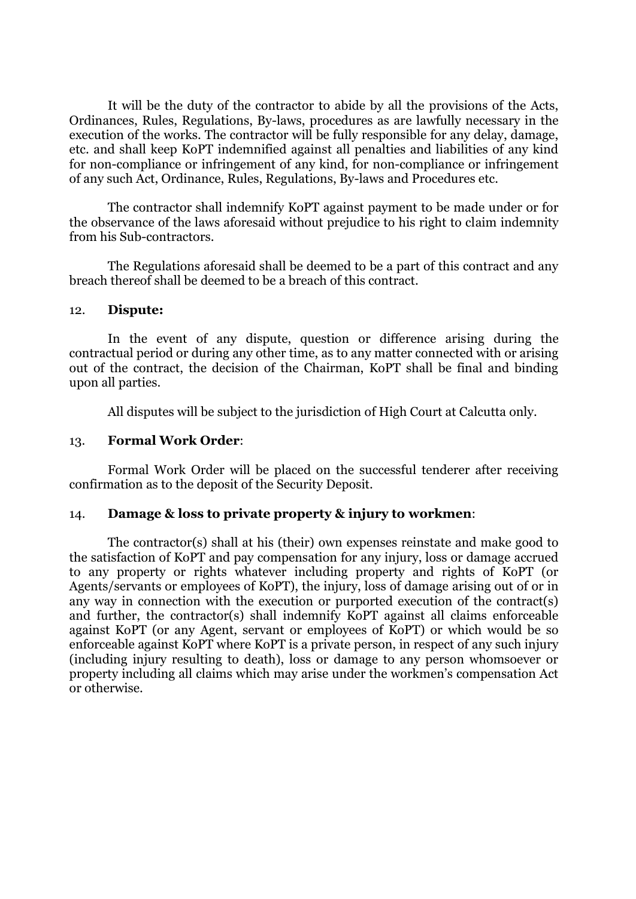It will be the duty of the contractor to abide by all the provisions of the Acts, Ordinances, Rules, Regulations, By-laws, procedures as are lawfully necessary in the execution of the works. The contractor will be fully responsible for any delay, damage, etc. and shall keep KoPT indemnified against all penalties and liabilities of any kind for non-compliance or infringement of any kind, for non-compliance or infringement of any such Act, Ordinance, Rules, Regulations, By-laws and Procedures etc.

The contractor shall indemnify KoPT against payment to be made under or for the observance of the laws aforesaid without prejudice to his right to claim indemnity from his Sub-contractors.

The Regulations aforesaid shall be deemed to be a part of this contract and any breach thereof shall be deemed to be a breach of this contract.

#### 12. **Dispute:**

In the event of any dispute, question or difference arising during the contractual period or during any other time, as to any matter connected with or arising out of the contract, the decision of the Chairman, KoPT shall be final and binding upon all parties.

All disputes will be subject to the jurisdiction of High Court at Calcutta only.

#### 13. **Formal Work Order**:

Formal Work Order will be placed on the successful tenderer after receiving confirmation as to the deposit of the Security Deposit.

#### 14. **Damage & loss to private property & injury to workmen**:

The contractor(s) shall at his (their) own expenses reinstate and make good to the satisfaction of KoPT and pay compensation for any injury, loss or damage accrued to any property or rights whatever including property and rights of KoPT (or Agents/servants or employees of KoPT), the injury, loss of damage arising out of or in any way in connection with the execution or purported execution of the contract(s) and further, the contractor(s) shall indemnify KoPT against all claims enforceable against KoPT (or any Agent, servant or employees of KoPT) or which would be so enforceable against KoPT where KoPT is a private person, in respect of any such injury (including injury resulting to death), loss or damage to any person whomsoever or property including all claims which may arise under the workmen's compensation Act or otherwise.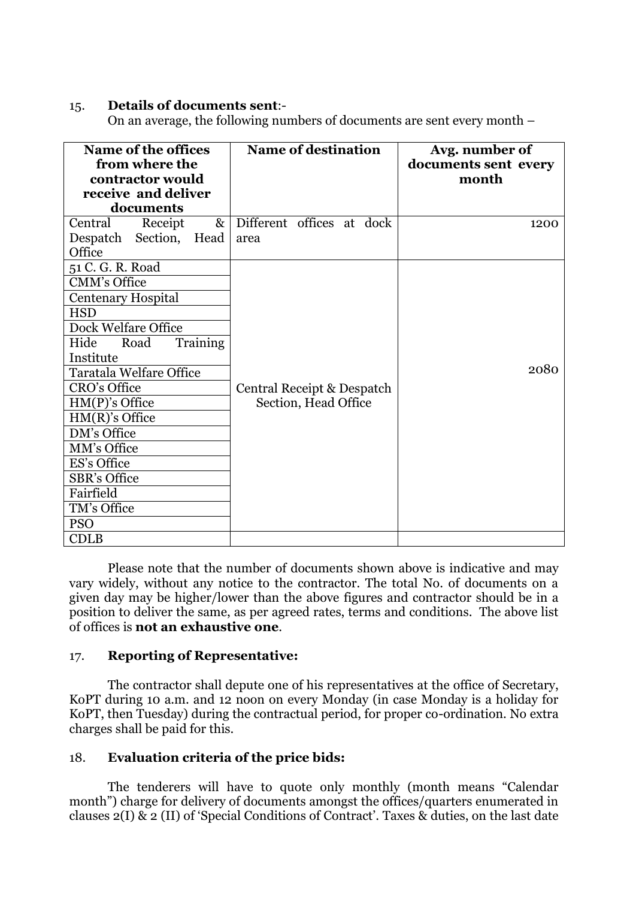#### 15. **Details of documents sent**:-

On an average, the following numbers of documents are sent every month –

| <b>Name of the offices</b><br>from where the<br>contractor would                                                                                                                                                                                                                                                                                                            | <b>Name of destination</b>                         | Avg. number of<br>documents sent every<br>month |
|-----------------------------------------------------------------------------------------------------------------------------------------------------------------------------------------------------------------------------------------------------------------------------------------------------------------------------------------------------------------------------|----------------------------------------------------|-------------------------------------------------|
| receive and deliver<br>documents                                                                                                                                                                                                                                                                                                                                            |                                                    |                                                 |
| Central<br>$\&$<br>Receipt<br>Despatch Section, Head<br>Office                                                                                                                                                                                                                                                                                                              | Different offices at dock<br>area                  | 1200                                            |
| 51 C. G. R. Road<br><b>CMM's Office</b><br><b>Centenary Hospital</b><br><b>HSD</b><br>Dock Welfare Office<br>Training<br>Hide<br>Road<br>Institute<br><b>Taratala Welfare Office</b><br>CRO's Office<br>$HM(P)$ 's Office<br>$HM(R)$ 's Office<br>DM's Office<br>MM's Office<br>ES's Office<br><b>SBR's Office</b><br>Fairfield<br>TM's Office<br><b>PSO</b><br><b>CDLB</b> | Central Receipt & Despatch<br>Section, Head Office | 2080                                            |
|                                                                                                                                                                                                                                                                                                                                                                             |                                                    |                                                 |

Please note that the number of documents shown above is indicative and may vary widely, without any notice to the contractor. The total No. of documents on a given day may be higher/lower than the above figures and contractor should be in a position to deliver the same, as per agreed rates, terms and conditions. The above list of offices is **not an exhaustive one**.

# 17. **Reporting of Representative:**

The contractor shall depute one of his representatives at the office of Secretary, KoPT during 10 a.m. and 12 noon on every Monday (in case Monday is a holiday for KoPT, then Tuesday) during the contractual period, for proper co-ordination. No extra charges shall be paid for this.

# 18. **Evaluation criteria of the price bids:**

The tenderers will have to quote only monthly (month means "Calendar month") charge for delivery of documents amongst the offices/quarters enumerated in clauses 2(I) & 2 (II) of 'Special Conditions of Contract'. Taxes & duties, on the last date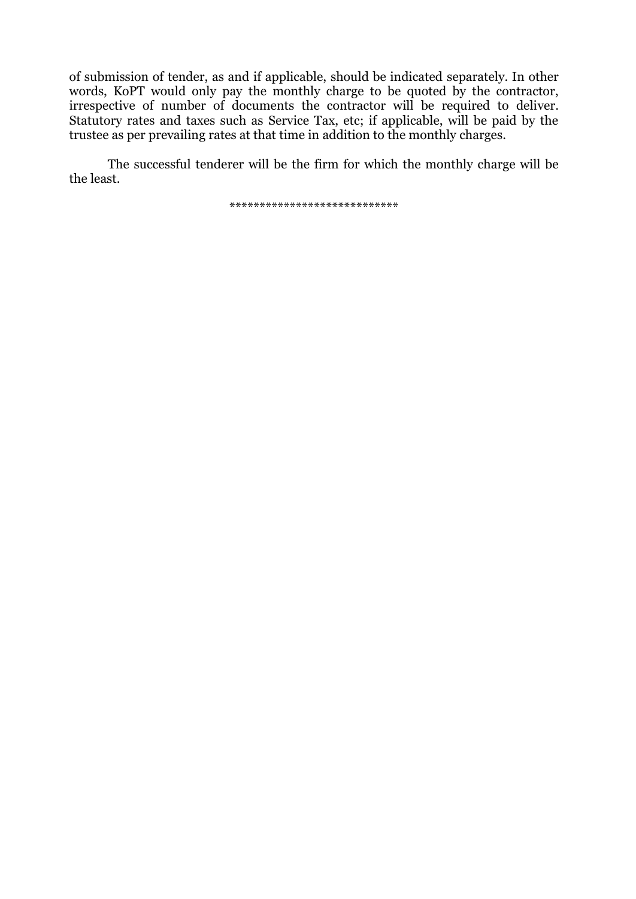of submission of tender, as and if applicable, should be indicated separately. In other words, KoPT would only pay the monthly charge to be quoted by the contractor, irrespective of number of documents the contractor will be required to deliver. Statutory rates and taxes such as Service Tax, etc; if applicable, will be paid by the trustee as per prevailing rates at that time in addition to the monthly charges.

The successful tenderer will be the firm for which the monthly charge will be the least.

\*\*\*\*\*\*\*\*\*\*\*\*\*\*\*\*\*\*\*\*\*\*\*\*\*\*\*\*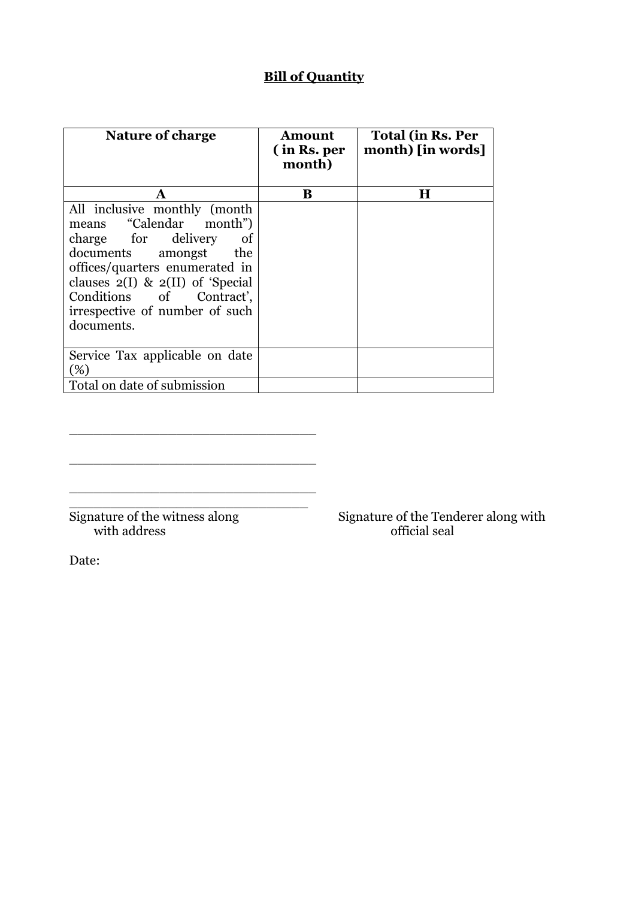# **Bill of Quantity**

| <b>Nature of charge</b>                                                                                                                                                                                                                                             | Amount<br>(in Rs. per<br>month) | <b>Total (in Rs. Per</b><br>month) [in words] |
|---------------------------------------------------------------------------------------------------------------------------------------------------------------------------------------------------------------------------------------------------------------------|---------------------------------|-----------------------------------------------|
| A                                                                                                                                                                                                                                                                   | B                               | Н                                             |
| All inclusive monthly (month<br>means "Calendar month")<br>charge for delivery<br>of<br>documents amongst the<br>offices/quarters enumerated in<br>clauses $2(I)$ & $2(II)$ of 'Special<br>Conditions of Contract',<br>irrespective of number of such<br>documents. |                                 |                                               |
| Service Tax applicable on date<br>(%)                                                                                                                                                                                                                               |                                 |                                               |
| Total on date of submission                                                                                                                                                                                                                                         |                                 |                                               |

with address official seal

\_\_\_\_\_\_\_\_\_\_\_\_\_\_\_\_\_\_\_\_\_\_\_\_\_\_\_\_\_\_

\_\_\_\_\_\_\_\_\_\_\_\_\_\_\_\_\_\_\_\_\_\_\_\_\_\_\_\_\_\_

\_\_\_\_\_\_\_\_\_\_\_\_\_\_\_\_\_\_\_\_\_\_\_\_\_\_\_\_\_\_ \_\_\_\_\_\_\_\_\_\_\_\_\_\_\_\_\_\_\_\_\_\_\_\_\_\_\_\_\_

Signature of the witness along Signature of the Tenderer along with

Date: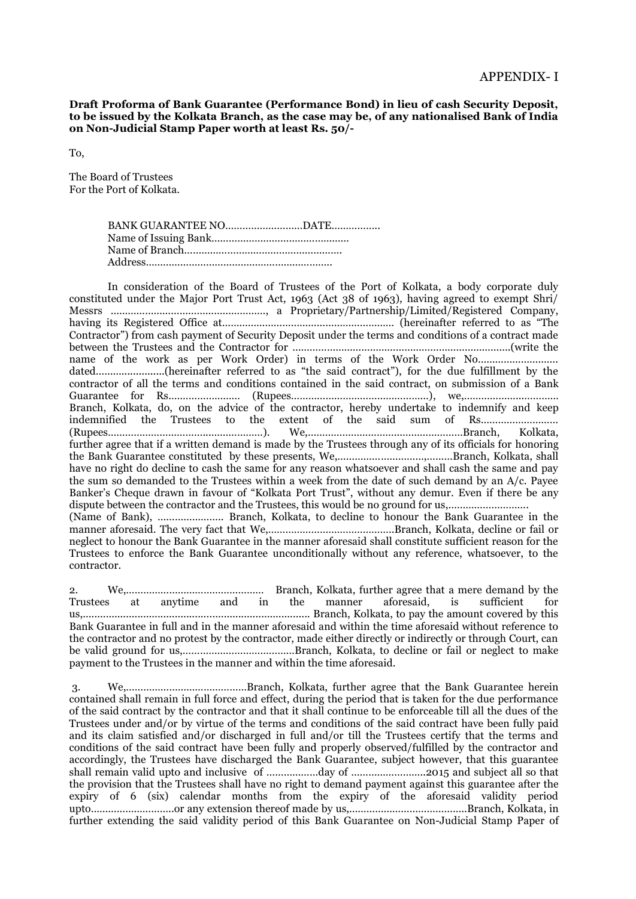**Draft Proforma of Bank Guarantee (Performance Bond) in lieu of cash Security Deposit, to be issued by the Kolkata Branch, as the case may be, of any nationalised Bank of India on Non-Judicial Stamp Paper worth at least Rs. 50/-**

To,

The Board of Trustees For the Port of Kolkata.

In consideration of the Board of Trustees of the Port of Kolkata, a body corporate duly constituted under the Major Port Trust Act, 1963 (Act 38 of 1963), having agreed to exempt Shri/ Messrs ………………………………………………, a Proprietary/Partnership/Limited/Registered Company, having its Registered Office at…………………………………………………… (hereinafter referred to as "The Contractor") from cash payment of Security Deposit under the terms and conditions of a contract made between the Trustees and the Contractor for ………………………………………………………………….(write the name of the work as per Work Order) in terms of the Work Order No………………………. dated………...............(hereinafter referred to as "the said contract"), for the due fulfillment by the contractor of all the terms and conditions contained in the said contract, on submission of a Bank Guarantee for Rs.…………………… (Rupees…………………………………………), we,………………...………… Branch, Kolkata, do, on the advice of the contractor, hereby undertake to indemnify and keep indemnified the Trustees to the extent of the said sum of Rs……………………… (Rupees……………………………...………………). We,…………………………...…………………Branch, Kolkata, further agree that if a written demand is made by the Trustees through any of its officials for honoring the Bank Guarantee constituted by these presents, We,…………………………,………Branch, Kolkata, shall have no right do decline to cash the same for any reason whatsoever and shall cash the same and pay the sum so demanded to the Trustees within a week from the date of such demand by an A/c. Payee Banker's Cheque drawn in favour of "Kolkata Port Trust", without any demur. Even if there be any dispute between the contractor and the Trustees, this would be no ground for us,.............................. (Name of Bank), ………………….. Branch, Kolkata, to decline to honour the Bank Guarantee in the manner aforesaid. The very fact that We,……………………………………..Branch, Kolkata, decline or fail or neglect to honour the Bank Guarantee in the manner aforesaid shall constitute sufficient reason for the Trustees to enforce the Bank Guarantee unconditionally without any reference, whatsoever, to the contractor.

2. We,………………………………………… Branch, Kolkata, further agree that a mere demand by the Trustees at anytime and in the manner aforesaid, is sufficient for us,............................................................................... Branch, Kolkata, to pay the amount covered by this Bank Guarantee in full and in the manner aforesaid and within the time aforesaid without reference to the contractor and no protest by the contractor, made either directly or indirectly or through Court, can be valid ground for us,…………………………………Branch, Kolkata, to decline or fail or neglect to make payment to the Trustees in the manner and within the time aforesaid.

3. We,……………………………………Branch, Kolkata, further agree that the Bank Guarantee herein contained shall remain in full force and effect, during the period that is taken for the due performance of the said contract by the contractor and that it shall continue to be enforceable till all the dues of the Trustees under and/or by virtue of the terms and conditions of the said contract have been fully paid and its claim satisfied and/or discharged in full and/or till the Trustees certify that the terms and conditions of the said contract have been fully and properly observed/fulfilled by the contractor and accordingly, the Trustees have discharged the Bank Guarantee, subject however, that this guarantee shall remain valid upto and inclusive of ………………day of ……………………..2015 and subject all so that the provision that the Trustees shall have no right to demand payment against this guarantee after the expiry of 6 (six) calendar months from the expiry of the aforesaid validity period upto………………………..or any extension thereof made by us,…………………………………..Branch, Kolkata, in further extending the said validity period of this Bank Guarantee on Non-Judicial Stamp Paper of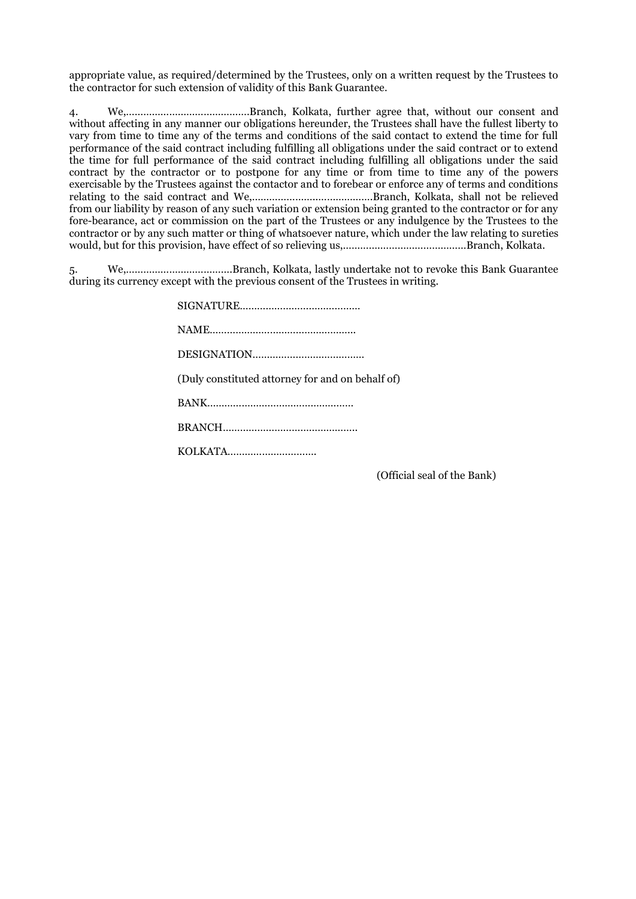appropriate value, as required/determined by the Trustees, only on a written request by the Trustees to the contractor for such extension of validity of this Bank Guarantee.

4. We,…………………………………….Branch, Kolkata, further agree that, without our consent and without affecting in any manner our obligations hereunder, the Trustees shall have the fullest liberty to vary from time to time any of the terms and conditions of the said contact to extend the time for full performance of the said contract including fulfilling all obligations under the said contract or to extend the time for full performance of the said contract including fulfilling all obligations under the said contract by the contractor or to postpone for any time or from time to time any of the powers exercisable by the Trustees against the contactor and to forebear or enforce any of terms and conditions relating to the said contract and We,…………………..……………….Branch, Kolkata, shall not be relieved from our liability by reason of any such variation or extension being granted to the contractor or for any fore-bearance, act or commission on the part of the Trustees or any indulgence by the Trustees to the contractor or by any such matter or thing of whatsoever nature, which under the law relating to sureties would, but for this provision, have effect of so relieving us,………….…………………………Branch, Kolkata.

5. We,……………………………….Branch, Kolkata, lastly undertake not to revoke this Bank Guarantee during its currency except with the previous consent of the Trustees in writing.

| (Duly constituted attorney for and on behalf of) |
|--------------------------------------------------|
|                                                  |
|                                                  |
|                                                  |

(Official seal of the Bank)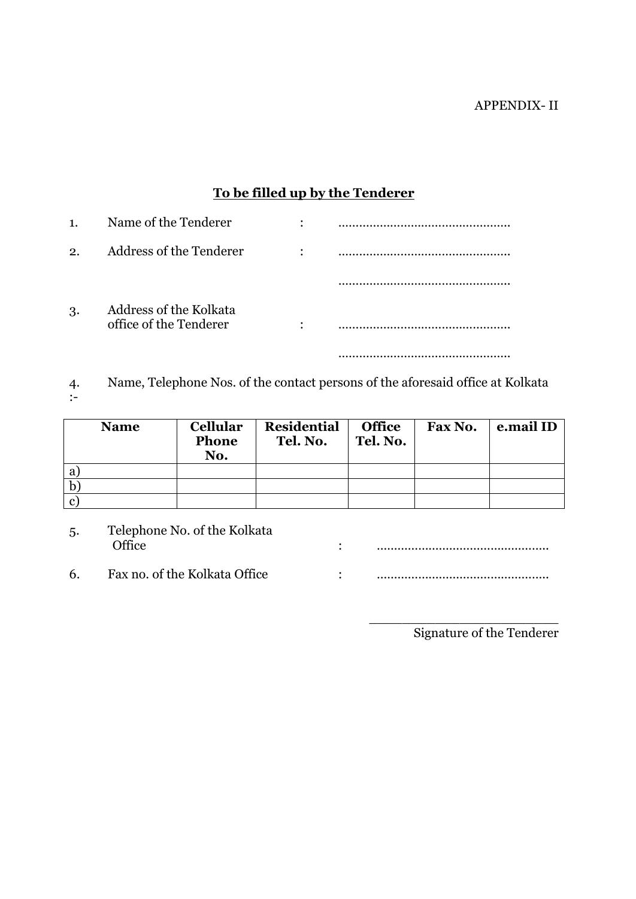# **To be filled up by the Tenderer**

| $\mathbf{1}$          | Name of the Tenderer                             | ٠         |   |
|-----------------------|--------------------------------------------------|-----------|---|
| $\mathcal{D}_{\cdot}$ | Address of the Tenderer                          | $\bullet$ | . |
|                       |                                                  |           |   |
| 3.                    | Address of the Kolkata<br>office of the Tenderer | ٠         |   |
|                       |                                                  |           |   |

4. Name, Telephone Nos. of the contact persons of the aforesaid office at Kolkata :-

|              | <b>Name</b> | <b>Cellular</b><br><b>Phone</b><br>No. | <b>Residential</b><br>Tel. No. | <b>Office</b><br>Tel. No. | Fax No. | e.mail ID |
|--------------|-------------|----------------------------------------|--------------------------------|---------------------------|---------|-----------|
| a            |             |                                        |                                |                           |         |           |
| $\mathbf b$  |             |                                        |                                |                           |         |           |
| $\mathbf{c}$ |             |                                        |                                |                           |         |           |

| Telephone No. of the Kolkata<br>5.<br>مffice) |                               |  |  |
|-----------------------------------------------|-------------------------------|--|--|
| -6                                            | Fax no. of the Kolkata Office |  |  |

\_\_\_\_\_\_\_\_\_\_\_\_\_\_\_\_\_\_\_\_\_\_\_ Signature of the Tenderer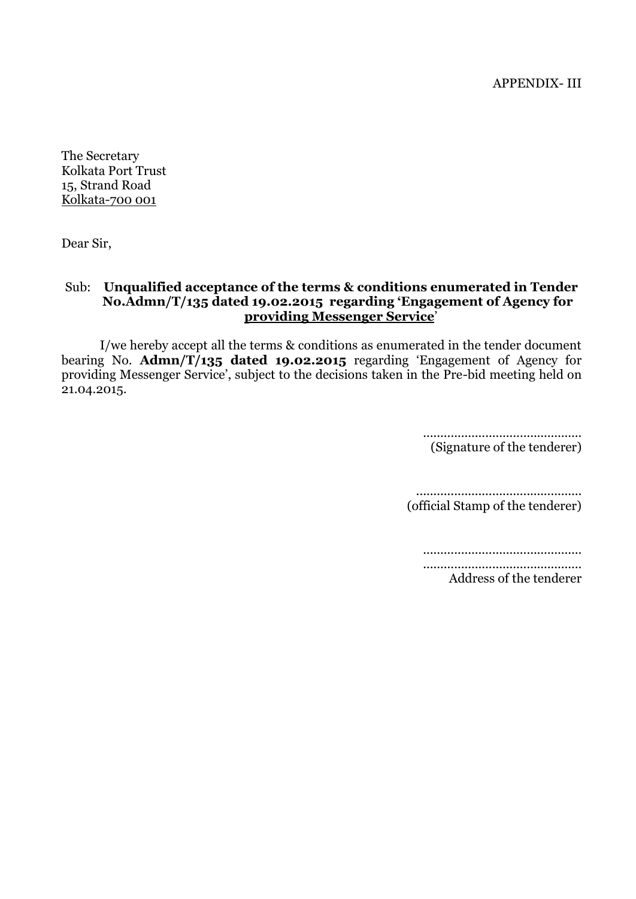APPENDIX- III

The Secretary Kolkata Port Trust 15, Strand Road Kolkata-700 001

Dear Sir,

# Sub: **Unqualified acceptance of the terms & conditions enumerated in Tender No.Admn/T/135 dated 19.02.2015 regarding 'Engagement of Agency for providing Messenger Service**'

I/we hereby accept all the terms & conditions as enumerated in the tender document bearing No. **Admn/T/135 dated 19.02.2015** regarding 'Engagement of Agency for providing Messenger Service', subject to the decisions taken in the Pre-bid meeting held on 21.04.2015.

> .............................................. (Signature of the tenderer)

................................................ (official Stamp of the tenderer)

.............................................. .............................................. Address of the tenderer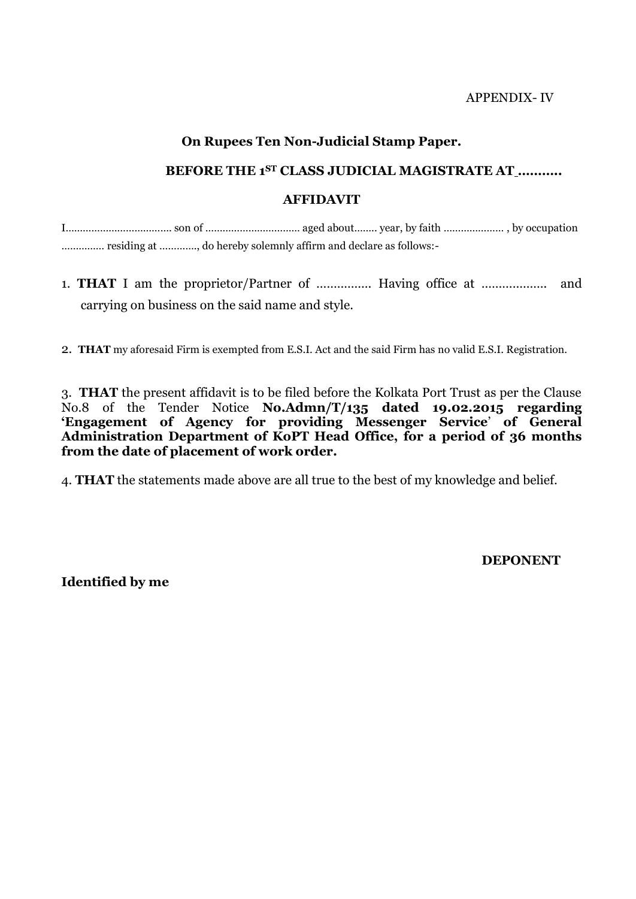APPENDIX- IV

# **On Rupees Ten Non-Judicial Stamp Paper.**

# **BEFORE THE 1ST CLASS JUDICIAL MAGISTRATE AT ………..**

# **AFFIDAVIT**

I………………………………. son of …………………………… aged about…….. year, by faith ………………… , by occupation …………… residing at …………., do hereby solemnly affirm and declare as follows:-

1. **THAT** I am the proprietor/Partner of ……………. Having office at ………………. and carrying on business on the said name and style.

2. **THAT** my aforesaid Firm is exempted from E.S.I. Act and the said Firm has no valid E.S.I. Registration.

3. **THAT** the present affidavit is to be filed before the Kolkata Port Trust as per the Clause No.8 of the Tender Notice **No.Admn/T/135 dated 19.02.2015 regarding 'Engagement of Agency for providing Messenger Service**' **of General Administration Department of KoPT Head Office, for a period of 36 months from the date of placement of work order.**

4. **THAT** the statements made above are all true to the best of my knowledge and belief.

**DEPONENT**

**Identified by me**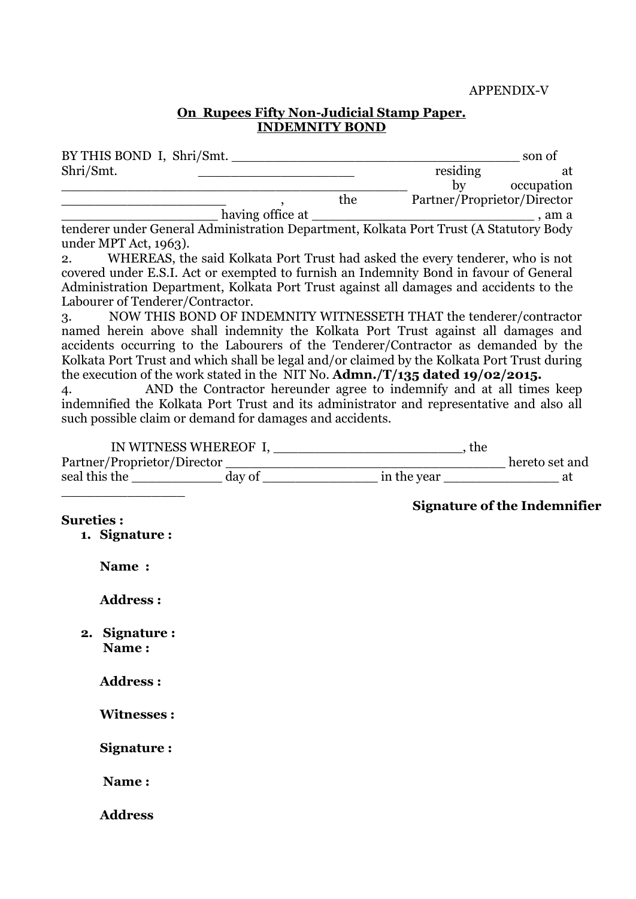#### **On Rupees Fifty Non-Judicial Stamp Paper. INDEMNITY BOND**

| BY THIS BOND I, Shri/Smt.                                                              |     |                             | son of     |
|----------------------------------------------------------------------------------------|-----|-----------------------------|------------|
| Shri/Smt.                                                                              |     | residing                    | at         |
|                                                                                        |     | bv                          | occupation |
|                                                                                        | the | Partner/Proprietor/Director |            |
| having office at                                                                       |     |                             | am a       |
| tenderer under General Administration Department, Kolkata Port Trust (A Statutory Body |     |                             |            |

under MPT Act, 1963).

2. WHEREAS, the said Kolkata Port Trust had asked the every tenderer, who is not covered under E.S.I. Act or exempted to furnish an Indemnity Bond in favour of General Administration Department, Kolkata Port Trust against all damages and accidents to the Labourer of Tenderer/Contractor.

3. NOW THIS BOND OF INDEMNITY WITNESSETH THAT the tenderer/contractor named herein above shall indemnity the Kolkata Port Trust against all damages and accidents occurring to the Labourers of the Tenderer/Contractor as demanded by the Kolkata Port Trust and which shall be legal and/or claimed by the Kolkata Port Trust during the execution of the work stated in the NIT No. **Admn./T/135 dated 19/02/2015.**

4. AND the Contractor hereunder agree to indemnify and at all times keep indemnified the Kolkata Port Trust and its administrator and representative and also all such possible claim or demand for damages and accidents.

|                        |  |  | <b>Signature of the Indemnifier</b> |  |
|------------------------|--|--|-------------------------------------|--|
| <b>Sureties:</b>       |  |  |                                     |  |
| 1. Signature:          |  |  |                                     |  |
| Name:                  |  |  |                                     |  |
| <b>Address:</b>        |  |  |                                     |  |
| 2. Signature:<br>Name: |  |  |                                     |  |
| <b>Address:</b>        |  |  |                                     |  |
| <b>Witnesses:</b>      |  |  |                                     |  |
| Signature:             |  |  |                                     |  |
| Name:                  |  |  |                                     |  |
| <b>Address</b>         |  |  |                                     |  |
|                        |  |  |                                     |  |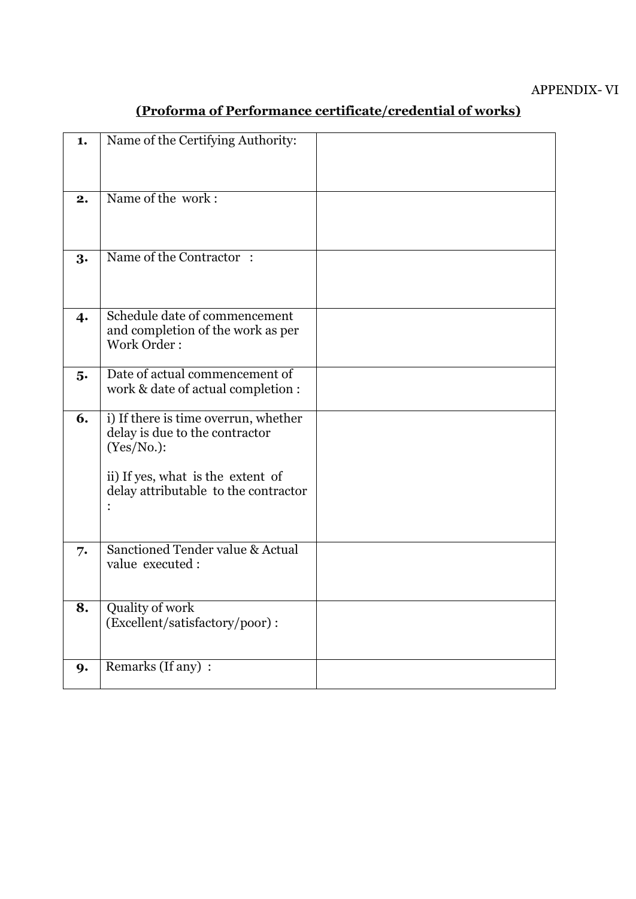| 1.               | Name of the Certifying Authority:                                                                                                                                 |  |
|------------------|-------------------------------------------------------------------------------------------------------------------------------------------------------------------|--|
| 2.               | Name of the work:                                                                                                                                                 |  |
| 3.               | Name of the Contractor:                                                                                                                                           |  |
| $\boldsymbol{4}$ | Schedule date of commencement<br>and completion of the work as per<br>Work Order:                                                                                 |  |
| 5.               | Date of actual commencement of<br>work & date of actual completion :                                                                                              |  |
| 6.               | i) If there is time overrun, whether<br>delay is due to the contractor<br>(Yes/No.):<br>ii) If yes, what is the extent of<br>delay attributable to the contractor |  |
| 7.               | Sanctioned Tender value & Actual<br>value executed:                                                                                                               |  |
| 8.               | Quality of work<br>(Excellent/satisfactory/poor):                                                                                                                 |  |
| 9.               | Remarks (If any) :                                                                                                                                                |  |

# **(Proforma of Performance certificate/credential of works)**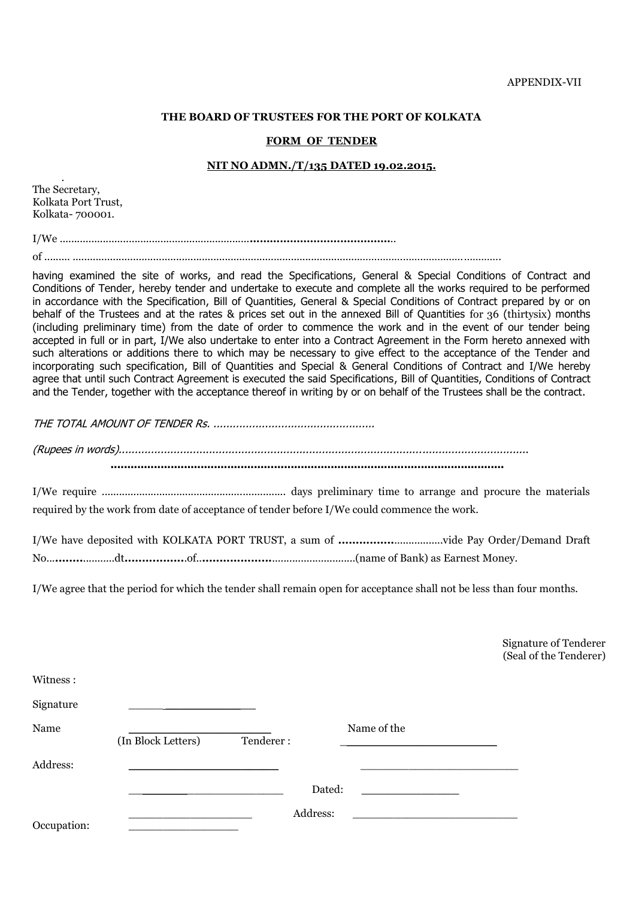#### **THE BOARD OF TRUSTEES FOR THE PORT OF KOLKATA**

#### **FORM OF TENDER**

#### **NIT NO ADMN./T/135 DATED 19.02.2015.**

. The Secretary, Kolkata Port Trust, Kolkata- 700001.

Witness :

I/We ..................................................................**……………………………………**..

of ......... ....................................................................................................………………………………………….

having examined the site of works, and read the Specifications, General & Special Conditions of Contract and Conditions of Tender, hereby tender and undertake to execute and complete all the works required to be performed in accordance with the Specification, Bill of Quantities, General & Special Conditions of Contract prepared by or on behalf of the Trustees and at the rates & prices set out in the annexed Bill of Quantities for 36 (thirtysix) months (including preliminary time) from the date of order to commence the work and in the event of our tender being accepted in full or in part, I/We also undertake to enter into a Contract Agreement in the Form hereto annexed with such alterations or additions there to which may be necessary to give effect to the acceptance of the Tender and incorporating such specification, Bill of Quantities and Special & General Conditions of Contract and I/We hereby agree that until such Contract Agreement is executed the said Specifications, Bill of Quantities, Conditions of Contract and the Tender, together with the acceptance thereof in writing by or on behalf of the Trustees shall be the contract.

THE TOTAL AMOUNT OF TENDER Rs. ..................................................

(Rupees in words)...............................................................................................................................

 **......................................................................................................................**

I/We require ................................................................ days preliminary time to arrange and procure the materials required by the work from date of acceptance of tender before I/We could commence the work.

I/We have deposited with KOLKATA PORT TRUST, a sum of **................**.................vide Pay Order/Demand Draft No...**........**...........dt**.................**.of..**....................**.............................(name of Bank) as Earnest Money.

I/We agree that the period for which the tender shall remain open for acceptance shall not be less than four months.

Signature of Tenderer (Seal of the Tenderer)

| Signature   |                    |           |             |  |
|-------------|--------------------|-----------|-------------|--|
| Name        | (In Block Letters) | Tenderer: | Name of the |  |
| Address:    |                    |           |             |  |
|             |                    |           | Dated:      |  |
| Occupation: |                    | Address:  |             |  |